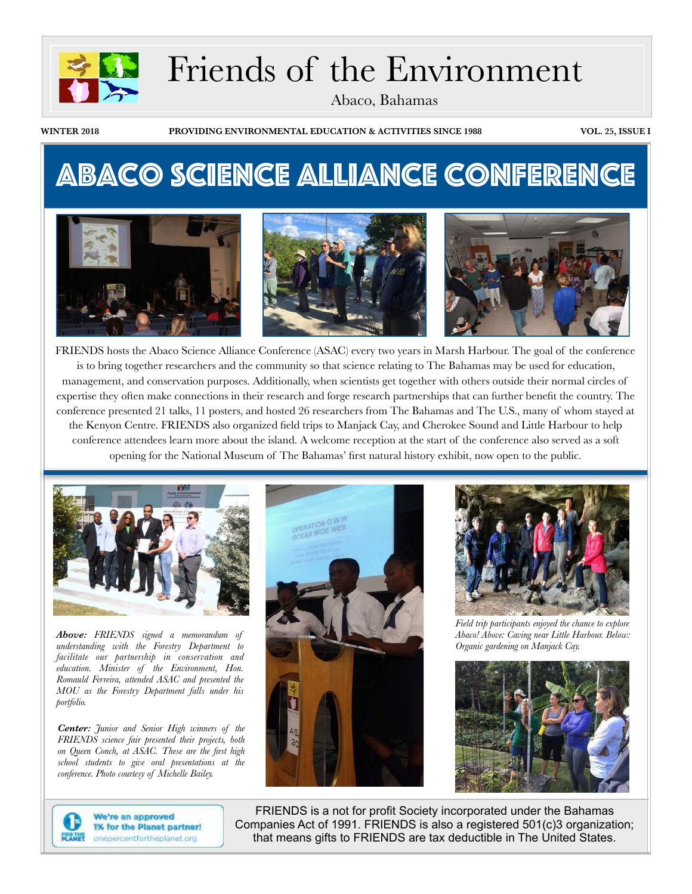

# Friends of the Environment

Abaco, Bahamas

**WINTER 2018 PROVIDING ENVIRONMENTAL EDUCATION & ACTIVITIES SINCE 1988 VOL. 25, ISSUE I**

## Abaco Science Alliance Conference



FRIENDS hosts the Abaco Science Alliance Conference (ASAC) every two years in Marsh Harbour. The goal of the conference is to bring together researchers and the community so that science relating to The Bahamas may be used for education, management, and conservation purposes. Additionally, when scientists get together with others outside their normal circles of expertise they often make connections in their research and forge research partnerships that can further benefit the country. The conference presented 21 talks, 11 posters, and hosted 26 researchers from The Bahamas and The U.S., many of whom stayed at the Kenyon Centre. FRIENDS also organized field trips to Manjack Cay, and Cherokee Sound and Little Harbour to help conference attendees learn more about the island. A welcome reception at the start of the conference also served as a soft opening for the National Museum of The Bahamas' first natural history exhibit, now open to the public.



*Above: FRIENDS signed a memorandum of understanding with the Forestry Department to facilitate our partnership in conservation and education. Minister of the Environment, Hon. Romauld Ferreira, attended ASAC and presented the MOU as the Forestry Department falls under his portfolio.*

*Center: Junior and Senior High winners of the FRIENDS science fair presented their projects, both on Queen Conch, at ASAC. These are the first high school students to give oral presentations at the conference. Photo courtesy of Michelle Bailey.*





*Field trip participants enjoyed the chance to explore Abaco! Above: Caving near Little Harbour. Below: Organic gardening on Manjack Cay.* 





We're an approved 1% for the Planet partner! onepercentfortheplanet.org

FRIENDS is a not for profit Society incorporated under the Bahamas Companies Act of 1991. FRIENDS is also a registered 501(c)3 organization; that means gifts to FRIENDS are tax deductible in The United States.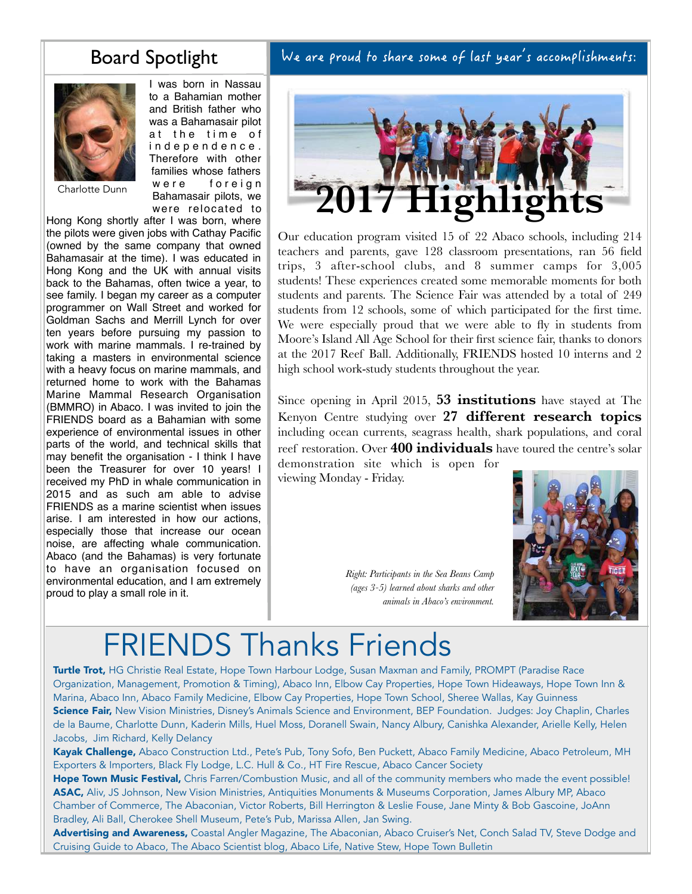## Board Spotlight



I was born in Nassau to a Bahamian mother and British father who was a Bahamasair pilot at the time of i n d e p e n d e n c e . Therefore with other families whose fathers were foreign Bahamasair pilots, we were relocated to

Charlotte Dunn

Hong Kong shortly after I was born, where the pilots were given jobs with Cathay Pacific (owned by the same company that owned Bahamasair at the time). I was educated in Hong Kong and the UK with annual visits back to the Bahamas, often twice a year, to see family. I began my career as a computer programmer on Wall Street and worked for Goldman Sachs and Merrill Lynch for over ten years before pursuing my passion to work with marine mammals. I re-trained by taking a masters in environmental science with a heavy focus on marine mammals, and returned home to work with the Bahamas Marine Mammal Research Organisation (BMMRO) in Abaco. I was invited to join the FRIENDS board as a Bahamian with some experience of environmental issues in other parts of the world, and technical skills that may benefit the organisation - I think I have been the Treasurer for over 10 years! I received my PhD in whale communication in 2015 and as such am able to advise FRIENDS as a marine scientist when issues arise. I am interested in how our actions, especially those that increase our ocean noise, are affecting whale communication. Abaco (and the Bahamas) is very fortunate to have an organisation focused on environmental education, and I am extremely proud to play a small role in it.

We are proud to share some of last year's accomplishments:



Our education program visited 15 of 22 Abaco schools, including 214 teachers and parents, gave 128 classroom presentations, ran 56 field trips, 3 after-school clubs, and 8 summer camps for 3,005 students! These experiences created some memorable moments for both students and parents. The Science Fair was attended by a total of 249 students from 12 schools, some of which participated for the first time. We were especially proud that we were able to fly in students from Moore's Island All Age School for their first science fair, thanks to donors at the 2017 Reef Ball. Additionally, FRIENDS hosted 10 interns and 2 high school work-study students throughout the year.

Since opening in April 2015, **53 institutions** have stayed at The Kenyon Centre studying over **27 different research topics** including ocean currents, seagrass health, shark populations, and coral reef restoration. Over **400 individuals** have toured the centre's solar demonstration site which is open for viewing Monday - Friday.

*Right: Participants in the Sea Beans Camp* 

*(ages 3-5) learned about sharks and other animals in Abaco's environment.*



# FRIENDS Thanks Friends

Turtle Trot, HG Christie Real Estate, Hope Town Harbour Lodge, Susan Maxman and Family, PROMPT (Paradise Race Organization, Management, Promotion & Timing), Abaco Inn, Elbow Cay Properties, Hope Town Hideaways, Hope Town Inn & Marina, Abaco Inn, Abaco Family Medicine, Elbow Cay Properties, Hope Town School, Sheree Wallas, Kay Guinness Science Fair, New Vision Ministries, Disney's Animals Science and Environment, BEP Foundation. Judges: Joy Chaplin, Charles de la Baume, Charlotte Dunn, Kaderin Mills, Huel Moss, Doranell Swain, Nancy Albury, Canishka Alexander, Arielle Kelly, Helen Jacobs, Jim Richard, Kelly Delancy

Kayak Challenge, Abaco Construction Ltd., Pete's Pub, Tony Sofo, Ben Puckett, Abaco Family Medicine, Abaco Petroleum, MH Exporters & Importers, Black Fly Lodge, L.C. Hull & Co., HT Fire Rescue, Abaco Cancer Society

Hope Town Music Festival, Chris Farren/Combustion Music, and all of the community members who made the event possible! ASAC, Aliv, JS Johnson, New Vision Ministries, Antiquities Monuments & Museums Corporation, James Albury MP, Abaco Chamber of Commerce, The Abaconian, Victor Roberts, Bill Herrington & Leslie Fouse, Jane Minty & Bob Gascoine, JoAnn Bradley, Ali Ball, Cherokee Shell Museum, Pete's Pub, Marissa Allen, Jan Swing.

Advertising and Awareness, Coastal Angler Magazine, The Abaconian, Abaco Cruiser's Net, Conch Salad TV, Steve Dodge and Cruising Guide to Abaco, The Abaco Scientist blog, Abaco Life, Native Stew, Hope Town Bulletin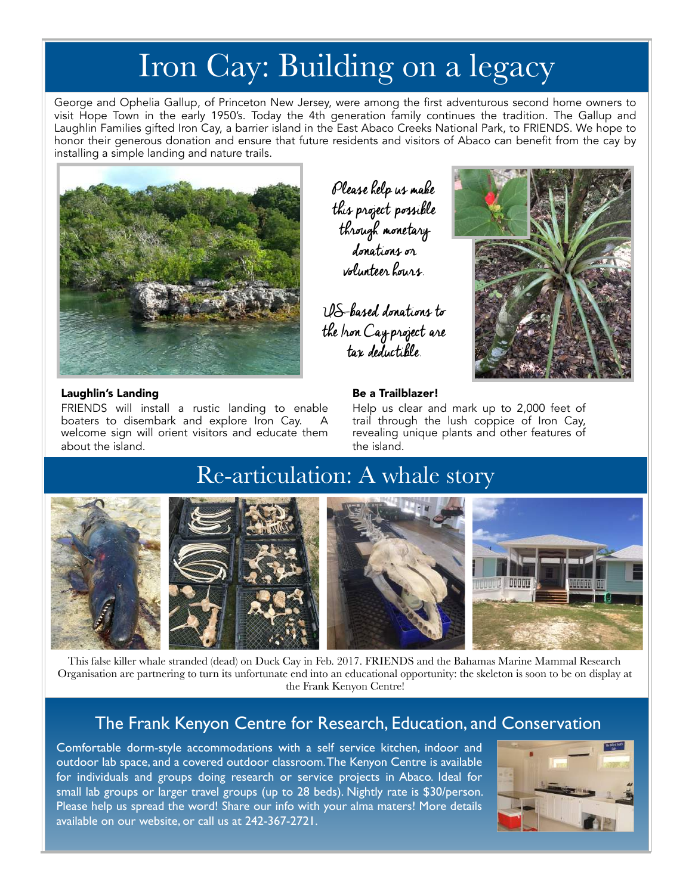# Iron Cay: Building on a legacy

George and Ophelia Gallup, of Princeton New Jersey, were among the first adventurous second home owners to visit Hope Town in the early 1950's. Today the 4th generation family continues the tradition. The Gallup and Laughlin Families gifted Iron Cay, a barrier island in the East Abaco Creeks National Park, to FRIENDS. We hope to honor their generous donation and ensure that future residents and visitors of Abaco can benefit from the cay by installing a simple landing and nature trails.



### Laughlin's Landing

FRIENDS will install a rustic landing to enable boaters to disembark and explore Iron Cay. A welcome sign will orient visitors and educate them about the island.

Please help us make this project possible through monetary donations or volunteer hours.

US-based donations to the Iron Cay project are tax deductible.



### Be a Trailblazer!

Help us clear and mark up to 2,000 feet of trail through the lush coppice of Iron Cay, revealing unique plants and other features of the island.

## Re-articulation: A whale story



This false killer whale stranded (dead) on Duck Cay in Feb. 2017. FRIENDS and the Bahamas Marine Mammal Research Organisation are partnering to turn its unfortunate end into an educational opportunity: the skeleton is soon to be on display at the Frank Kenyon Centre!

### The Frank Kenyon Centre for Research, Education, and Conservation

Comfortable dorm-style accommodations with a self service kitchen, indoor and outdoor lab space, and a covered outdoor classroom. The Kenyon Centre is available for individuals and groups doing research or service projects in Abaco. Ideal for small lab groups or larger travel groups (up to 28 beds). Nightly rate is \$30/person. Please help us spread the word! Share our info with your alma maters! More details available on our website, or call us at 242-367-2721.